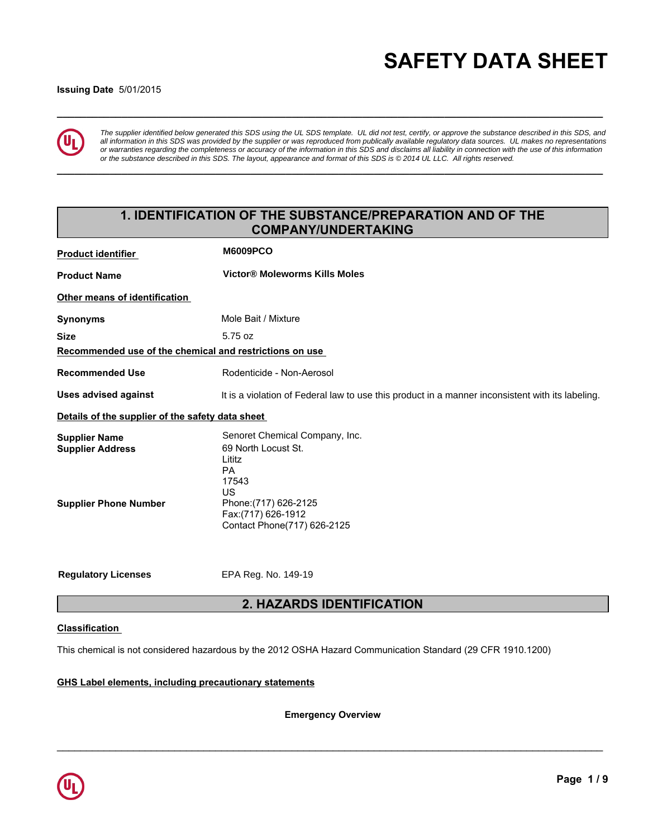# **\_\_\_\_\_\_\_\_\_\_\_\_\_\_\_\_\_\_\_\_\_\_\_\_\_\_\_\_\_\_\_\_\_\_\_\_\_\_\_\_\_\_\_\_\_\_\_\_\_\_\_\_\_\_\_\_\_\_\_\_\_\_\_\_\_\_\_\_\_\_\_\_\_\_\_\_\_\_\_\_\_\_\_\_\_\_\_\_\_\_\_\_\_ SAFETY DATA SHEET**

### **Issuing Date** 5/01/2015



*The supplier identified below generated this SDS using the UL SDS template. UL did not test, certify, or approve the substance described in this SDS, and all information in this SDS was provided by the supplier or was reproduced from publically available regulatory data sources. UL makes no representations or warranties regarding the completeness or accuracy of the information in this SDS and disclaims all liability in connection with the use of this information or the substance described in this SDS. The layout, appearance and format of this SDS is © 2014 UL LLC. All rights reserved.*

**\_\_\_\_\_\_\_\_\_\_\_\_\_\_\_\_\_\_\_\_\_\_\_\_\_\_\_\_\_\_\_\_\_\_\_\_\_\_\_\_\_\_\_\_\_\_\_\_\_\_\_\_\_\_\_\_\_\_\_\_\_\_\_\_\_\_\_\_\_\_\_\_\_\_\_\_\_\_\_\_\_\_\_\_\_\_\_\_\_\_\_\_\_**

# **1. IDENTIFICATION OF THE SUBSTANCE/PREPARATION AND OF THE COMPANY/UNDERTAKING**

| <b>Product identifier</b>                               | <b>M6009PCO</b>                                                                                  |
|---------------------------------------------------------|--------------------------------------------------------------------------------------------------|
| <b>Product Name</b>                                     | <b>Victor® Moleworms Kills Moles</b>                                                             |
| Other means of identification                           |                                                                                                  |
| <b>Synonyms</b>                                         | Mole Bait / Mixture                                                                              |
| <b>Size</b>                                             | 5.75 oz                                                                                          |
| Recommended use of the chemical and restrictions on use |                                                                                                  |
| <b>Recommended Use</b>                                  | Rodenticide - Non-Aerosol                                                                        |
| <b>Uses advised against</b>                             | It is a violation of Federal law to use this product in a manner inconsistent with its labeling. |
| Details of the supplier of the safety data sheet        |                                                                                                  |
| <b>Supplier Name</b><br><b>Supplier Address</b>         | Senoret Chemical Company, Inc.<br>69 North Locust St.<br>Lititz<br><b>PA</b><br>17543<br>US      |
| <b>Supplier Phone Number</b>                            | Phone: (717) 626-2125<br>Fax:(717) 626-1912<br>Contact Phone(717) 626-2125                       |
| <b>Regulatory Licenses</b>                              | EPA Reg. No. 149-19                                                                              |
|                                                         | <b>2. HAZARDS IDENTIFICATION</b>                                                                 |

### **Classification**

This chemical is not considered hazardous by the 2012 OSHA Hazard Communication Standard (29 CFR 1910.1200)

### **GHS Label elements, including precautionary statements**

**Emergency Overview**

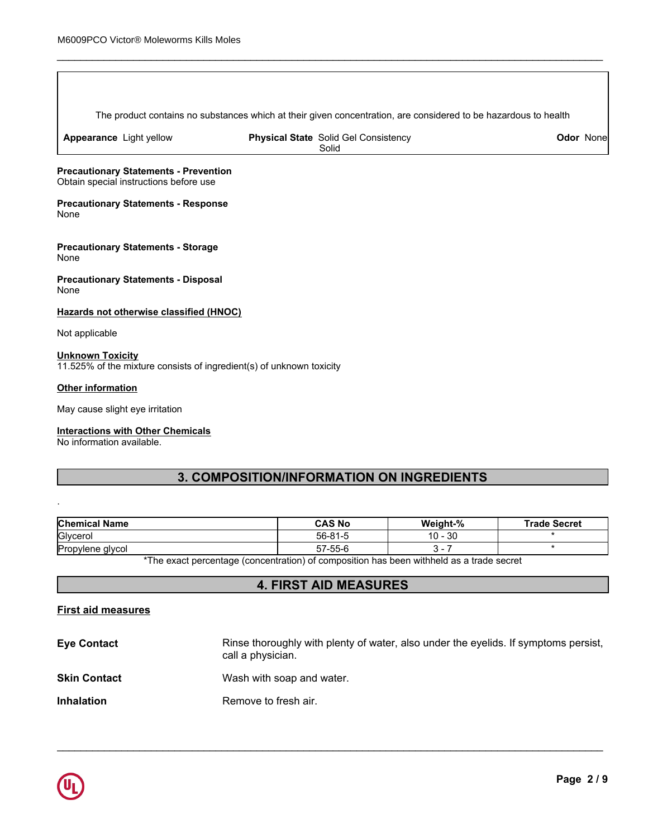The product contains no substances which at their given concentration, are considered to be hazardous to health

\_\_\_\_\_\_\_\_\_\_\_\_\_\_\_\_\_\_\_\_\_\_\_\_\_\_\_\_\_\_\_\_\_\_\_\_\_\_\_\_\_\_\_\_\_\_\_\_\_\_\_\_\_\_\_\_\_\_\_\_\_\_\_\_\_\_\_\_\_\_\_\_\_\_\_\_\_\_\_\_\_\_\_\_\_\_\_\_\_\_\_\_\_

**Appearance** Light yellow

**Physical State** Solid Gel Consistency Solid

**Odor** None

**Precautionary Statements - Prevention** Obtain special instructions before use

**Precautionary Statements - Response** None

**Precautionary Statements - Storage** None

**Precautionary Statements - Disposal** None

**Hazards not otherwise classified (HNOC)**

Not applicable

### **Unknown Toxicity** 11.525% of the mixture consists of ingredient(s) of unknown toxicity

### **Other information**

.

May cause slight eye irritation

### **Interactions with Other Chemicals**

No information available.

# **3. COMPOSITION/INFORMATION ON INGREDIENTS**

| <b>Chemical Name</b> | <b>CAS No</b>                                                                            | Weight-%  | <b>Trade Secret</b> |
|----------------------|------------------------------------------------------------------------------------------|-----------|---------------------|
| Glycerol             | 56-81-5                                                                                  | $10 - 30$ |                     |
| Propylene glycol     | 57-55-6                                                                                  |           |                     |
|                      | *The exact perceptage (conceptration) of composition has been withhold as a trade coaret |           |                     |

The exact percentage (concentration) of composition has been withheld as a trade secret

# **4. FIRST AID MEASURES**

### **First aid measures**

| <b>Eye Contact</b>  | Rinse thoroughly with plenty of water, also under the eyelids. If symptoms persist,<br>call a physician. |
|---------------------|----------------------------------------------------------------------------------------------------------|
| <b>Skin Contact</b> | Wash with soap and water.                                                                                |
| <b>Inhalation</b>   | Remove to fresh air.                                                                                     |

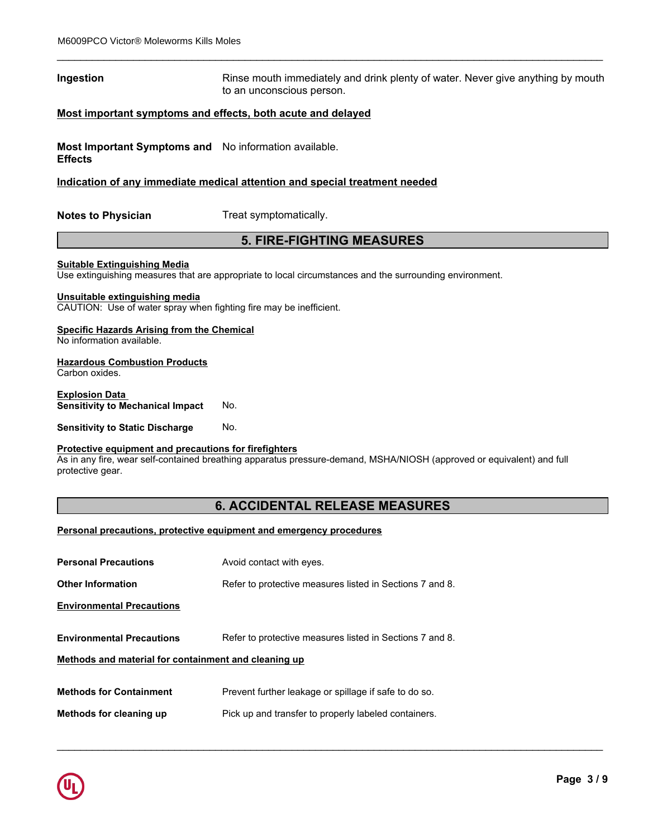### **Ingestion Rinse mouth immediately and drink plenty of water. Never give anything by mouth immediately and drink plenty of water. Never give anything by mouth** to an unconscious person.

\_\_\_\_\_\_\_\_\_\_\_\_\_\_\_\_\_\_\_\_\_\_\_\_\_\_\_\_\_\_\_\_\_\_\_\_\_\_\_\_\_\_\_\_\_\_\_\_\_\_\_\_\_\_\_\_\_\_\_\_\_\_\_\_\_\_\_\_\_\_\_\_\_\_\_\_\_\_\_\_\_\_\_\_\_\_\_\_\_\_\_\_\_

### **Most important symptoms and effects, both acute and delayed**

**Most Important Symptoms and** No information available. **Effects**

### **Indication of any immediate medical attention and special treatment needed**

**Notes to Physician** Treat symptomatically.

# **5. FIRE-FIGHTING MEASURES**

### **Suitable Extinguishing Media**

Use extinguishing measures that are appropriate to local circumstances and the surrounding environment.

### **Unsuitable extinguishing media**

CAUTION: Use of water spray when fighting fire may be inefficient.

# **Specific Hazards Arising from the Chemical**

No information available.

### **Hazardous Combustion Products**

Carbon oxides.

### **Explosion Data Sensitivity to Mechanical Impact** No.

**Sensitivity to Static Discharge No.** 

### **Protective equipment and precautions for firefighters**

As in any fire, wear self-contained breathing apparatus pressure-demand, MSHA/NIOSH (approved or equivalent) and full protective gear.

## **6. ACCIDENTAL RELEASE MEASURES**

\_\_\_\_\_\_\_\_\_\_\_\_\_\_\_\_\_\_\_\_\_\_\_\_\_\_\_\_\_\_\_\_\_\_\_\_\_\_\_\_\_\_\_\_\_\_\_\_\_\_\_\_\_\_\_\_\_\_\_\_\_\_\_\_\_\_\_\_\_\_\_\_\_\_\_\_\_\_\_\_\_\_\_\_\_\_\_\_\_\_\_\_\_

### **Personal precautions, protective equipment and emergency procedures**

| <b>Personal Precautions</b>                          | Avoid contact with eyes.                                 |
|------------------------------------------------------|----------------------------------------------------------|
| <b>Other Information</b>                             | Refer to protective measures listed in Sections 7 and 8. |
| <b>Environmental Precautions</b>                     |                                                          |
|                                                      |                                                          |
| <b>Environmental Precautions</b>                     | Refer to protective measures listed in Sections 7 and 8. |
| Methods and material for containment and cleaning up |                                                          |
|                                                      |                                                          |
| <b>Methods for Containment</b>                       | Prevent further leakage or spillage if safe to do so.    |
| Methods for cleaning up                              | Pick up and transfer to properly labeled containers.     |
|                                                      |                                                          |

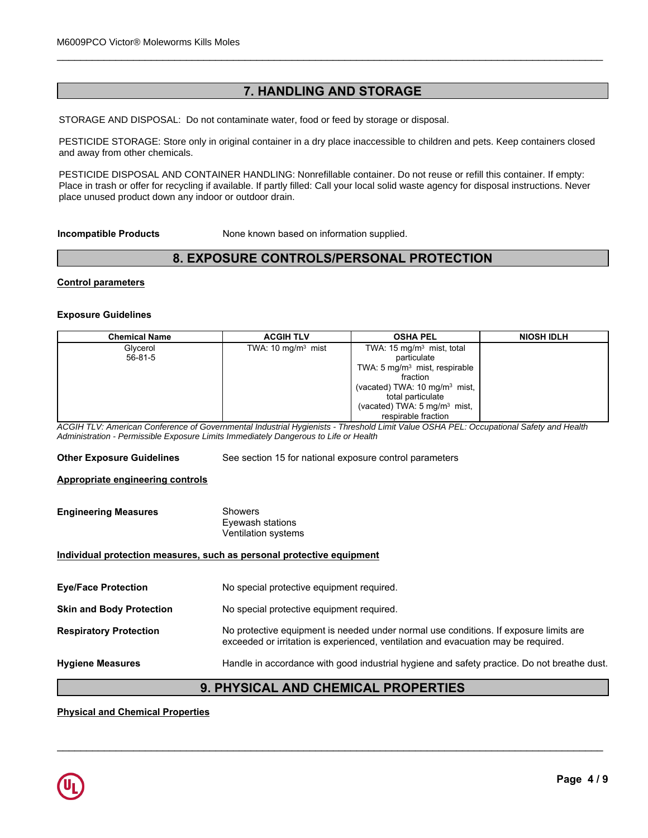# **7. HANDLING AND STORAGE**

\_\_\_\_\_\_\_\_\_\_\_\_\_\_\_\_\_\_\_\_\_\_\_\_\_\_\_\_\_\_\_\_\_\_\_\_\_\_\_\_\_\_\_\_\_\_\_\_\_\_\_\_\_\_\_\_\_\_\_\_\_\_\_\_\_\_\_\_\_\_\_\_\_\_\_\_\_\_\_\_\_\_\_\_\_\_\_\_\_\_\_\_\_

STORAGE AND DISPOSAL: Do not contaminate water, food or feed by storage or disposal.

PESTICIDE STORAGE: Store only in original container in a dry place inaccessible to children and pets. Keep containers closed<br>and away from other chemicals and away from other chemicals.

Place in trash or offer for recycling if available. If partly filled: Call your local solid waste agency for disposal instructions. Never PESTICIDE DISPOSAL AND CONTAINER HANDLING: Nonrefillable container. Do not reuse or refill this container. If empty: place unused product down any indoor or outdoor drain.

# **8. EXPOSURE CONTROLS/PERSONAL PROTECTION**

### **Control parameters**

### **Exposure Guidelines**

| <b>Incompatible Products</b> | None known based on information supplied. |                                                      |                   |  |  |
|------------------------------|-------------------------------------------|------------------------------------------------------|-------------------|--|--|
|                              | 8. EXPOSURE CONTROLS/PERSONAL PROTECTION  |                                                      |                   |  |  |
| <b>Control parameters</b>    |                                           |                                                      |                   |  |  |
| <b>Exposure Guidelines</b>   |                                           |                                                      |                   |  |  |
| <b>Chemical Name</b>         | <b>ACGIH TLV</b>                          | <b>OSHA PEL</b>                                      | <b>NIOSH IDLH</b> |  |  |
| Glycerol<br>$56 - 81 - 5$    | TWA: 10 mg/m <sup>3</sup> mist            | TWA: 15 mg/m <sup>3</sup> mist, total<br>particulate |                   |  |  |
|                              |                                           | TWA: 5 mg/m <sup>3</sup> mist, respirable            |                   |  |  |
|                              |                                           | fraction                                             |                   |  |  |
|                              |                                           | (vacated) TWA: $10 \text{ mg/m}^3$ mist,             |                   |  |  |
|                              |                                           | total particulate                                    |                   |  |  |
|                              |                                           | (vacated) TWA: 5 mg/m <sup>3</sup> mist,             |                   |  |  |
|                              |                                           | respirable fraction                                  |                   |  |  |

*ACGIH TLV: American Conference of Governmental Industrial Hygienists - Threshold Limit Value OSHA PEL: Occupational Safety and Health Administration - Permissible Exposure Limits Immediately Dangerous to Life or Health*

**Other Exposure Guidelines** See section 15 for national exposure control parameters

### **Appropriate engineering controls**

| <b>Engineering Measures</b> | Showers             |  |
|-----------------------------|---------------------|--|
|                             | Evewash stations    |  |
|                             | Ventilation systems |  |

### **Individual protection measures, such as personal protective equipment**

| <b>Eye/Face Protection</b>      | No special protective equipment required.                                                                                                                                   |
|---------------------------------|-----------------------------------------------------------------------------------------------------------------------------------------------------------------------------|
| <b>Skin and Body Protection</b> | No special protective equipment required.                                                                                                                                   |
| <b>Respiratory Protection</b>   | No protective equipment is needed under normal use conditions. If exposure limits are<br>exceeded or irritation is experienced, ventilation and evacuation may be required. |
| <b>Hygiene Measures</b>         | Handle in accordance with good industrial hygiene and safety practice. Do not breathe dust.                                                                                 |
|                                 |                                                                                                                                                                             |

# **9. PHYSICAL AND CHEMICAL PROPERTIES**

\_\_\_\_\_\_\_\_\_\_\_\_\_\_\_\_\_\_\_\_\_\_\_\_\_\_\_\_\_\_\_\_\_\_\_\_\_\_\_\_\_\_\_\_\_\_\_\_\_\_\_\_\_\_\_\_\_\_\_\_\_\_\_\_\_\_\_\_\_\_\_\_\_\_\_\_\_\_\_\_\_\_\_\_\_\_\_\_\_\_\_\_\_

### **Physical and Chemical Properties**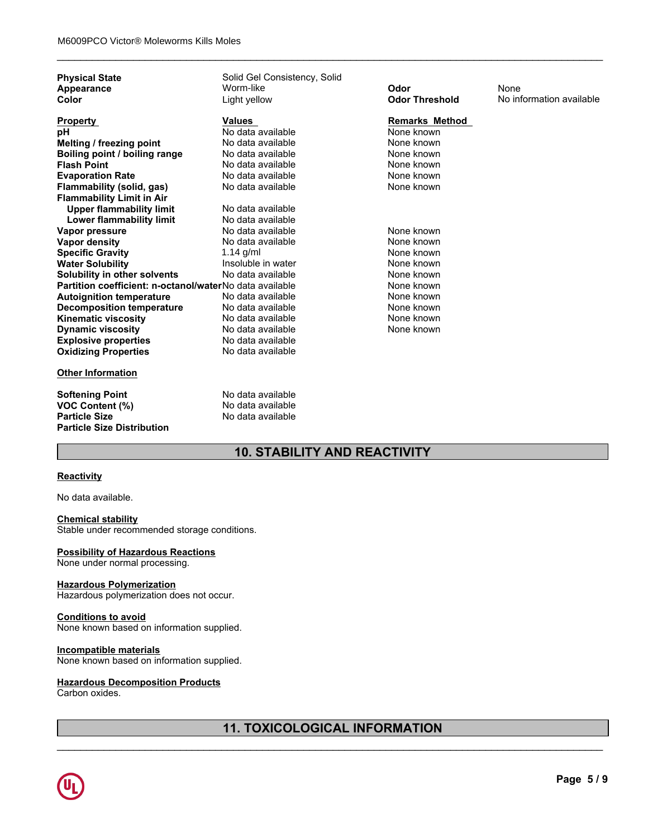| <b>Physical State</b><br>Appearance                     | Solid Gel Consistency, Solid<br>Worm-like | Odor                  | None                     |
|---------------------------------------------------------|-------------------------------------------|-----------------------|--------------------------|
| Color                                                   | Light yellow                              | <b>Odor Threshold</b> | No information available |
|                                                         |                                           |                       |                          |
| <b>Property</b>                                         | Values                                    | <b>Remarks Method</b> |                          |
| рH                                                      | No data available                         | None known            |                          |
| Melting / freezing point                                | No data available                         | None known            |                          |
| Boiling point / boiling range                           | No data available                         | None known            |                          |
| <b>Flash Point</b>                                      | No data available                         | None known            |                          |
| <b>Evaporation Rate</b>                                 | No data available                         | None known            |                          |
| Flammability (solid, gas)                               | No data available                         | None known            |                          |
| <b>Flammability Limit in Air</b>                        |                                           |                       |                          |
| <b>Upper flammability limit</b>                         | No data available                         |                       |                          |
| <b>Lower flammability limit</b>                         | No data available                         |                       |                          |
| Vapor pressure                                          | No data available                         | None known            |                          |
| Vapor density                                           | No data available                         | None known            |                          |
| <b>Specific Gravity</b>                                 | 1.14 $g/ml$                               | None known            |                          |
| <b>Water Solubility</b>                                 | Insoluble in water                        | None known            |                          |
| Solubility in other solvents                            | No data available                         | None known            |                          |
| Partition coefficient: n-octanol/waterNo data available |                                           | None known            |                          |
| <b>Autoignition temperature</b>                         | No data available                         | None known            |                          |
| <b>Decomposition temperature</b>                        | No data available                         | None known            |                          |
| <b>Kinematic viscosity</b>                              | No data available                         | None known            |                          |
| <b>Dynamic viscosity</b>                                | No data available                         | None known            |                          |
| <b>Explosive properties</b>                             | No data available                         |                       |                          |
| <b>Oxidizing Properties</b>                             | No data available                         |                       |                          |
| <b>Other Information</b>                                |                                           |                       |                          |
| <b>Softening Point</b>                                  | No data available                         |                       |                          |
| VOC Content (%)                                         | No data available                         |                       |                          |
| <b>Particle Size</b>                                    | No data available                         |                       |                          |
| <b>Particle Size Distribution</b>                       |                                           |                       |                          |
|                                                         |                                           |                       |                          |

\_\_\_\_\_\_\_\_\_\_\_\_\_\_\_\_\_\_\_\_\_\_\_\_\_\_\_\_\_\_\_\_\_\_\_\_\_\_\_\_\_\_\_\_\_\_\_\_\_\_\_\_\_\_\_\_\_\_\_\_\_\_\_\_\_\_\_\_\_\_\_\_\_\_\_\_\_\_\_\_\_\_\_\_\_\_\_\_\_\_\_\_\_

# **10. STABILITY AND REACTIVITY**

### **Reactivity**

No data available.

### **Chemical stability**

Stable under recommended storage conditions.

### **Possibility of Hazardous Reactions**

None under normal processing.

### **Hazardous Polymerization**

Hazardous polymerization does not occur.

### **Conditions to avoid**

None known based on information supplied.

### **Incompatible materials**

None known based on information supplied.

### **Hazardous Decomposition Products**

Carbon oxides.

# **11. TOXICOLOGICAL INFORMATION**

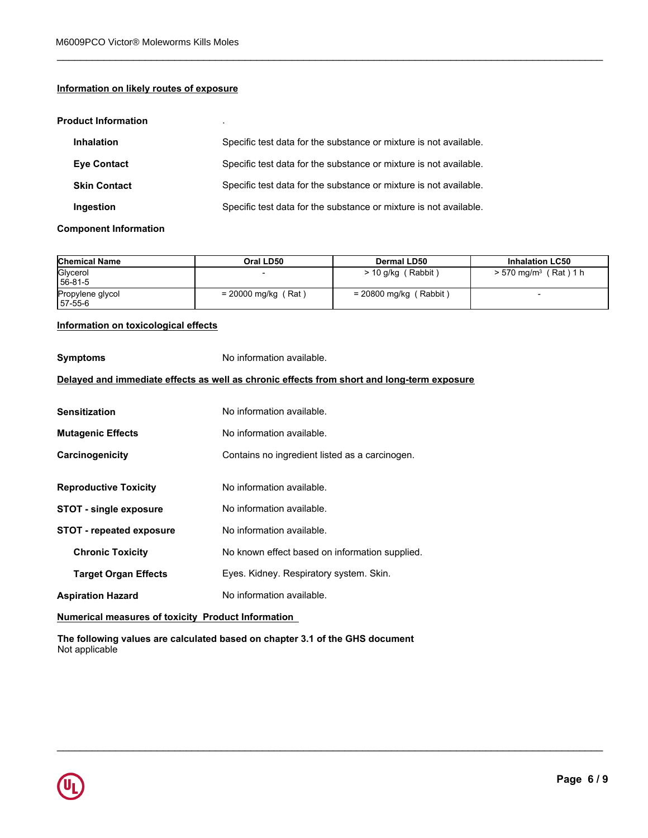## **Information on likely routes of exposure**

### **Product Information** .

| <b>Inhalation</b>   | Specific test data for the substance or mixture is not available. |
|---------------------|-------------------------------------------------------------------|
| <b>Eve Contact</b>  | Specific test data for the substance or mixture is not available. |
| <b>Skin Contact</b> | Specific test data for the substance or mixture is not available. |
| Ingestion           | Specific test data for the substance or mixture is not available. |

### **Component Information**

| <b>Chemical Name</b>         | Oral LD50             | Dermal LD50              | <b>Inhalation LC50</b>              |
|------------------------------|-----------------------|--------------------------|-------------------------------------|
| Glycerol<br>56-81-5          |                       | ' Rabbit '<br>> 10 g/kg  | $> 570$ mg/m <sup>3</sup> (Rat) 1 h |
| Propylene glycol<br>157-55-6 | $= 20000$ mg/kg (Rat) | $= 20800$ mg/kg (Rabbit) |                                     |

\_\_\_\_\_\_\_\_\_\_\_\_\_\_\_\_\_\_\_\_\_\_\_\_\_\_\_\_\_\_\_\_\_\_\_\_\_\_\_\_\_\_\_\_\_\_\_\_\_\_\_\_\_\_\_\_\_\_\_\_\_\_\_\_\_\_\_\_\_\_\_\_\_\_\_\_\_\_\_\_\_\_\_\_\_\_\_\_\_\_\_\_\_

\_\_\_\_\_\_\_\_\_\_\_\_\_\_\_\_\_\_\_\_\_\_\_\_\_\_\_\_\_\_\_\_\_\_\_\_\_\_\_\_\_\_\_\_\_\_\_\_\_\_\_\_\_\_\_\_\_\_\_\_\_\_\_\_\_\_\_\_\_\_\_\_\_\_\_\_\_\_\_\_\_\_\_\_\_\_\_\_\_\_\_\_\_

# **Information on toxicological effects**

| Information on toxicological effects                      |                                                                                            |
|-----------------------------------------------------------|--------------------------------------------------------------------------------------------|
| <b>Symptoms</b>                                           | No information available.                                                                  |
|                                                           | Delayed and immediate effects as well as chronic effects from short and long-term exposure |
| <b>Sensitization</b>                                      | No information available.                                                                  |
| <b>Mutagenic Effects</b>                                  | No information available.                                                                  |
| Carcinogenicity                                           | Contains no ingredient listed as a carcinogen.                                             |
| <b>Reproductive Toxicity</b>                              | No information available.                                                                  |
| <b>STOT - single exposure</b>                             | No information available.                                                                  |
| <b>STOT - repeated exposure</b>                           | No information available.                                                                  |
| <b>Chronic Toxicity</b>                                   | No known effect based on information supplied.                                             |
| <b>Target Organ Effects</b>                               | Eyes. Kidney. Respiratory system. Skin.                                                    |
| <b>Aspiration Hazard</b>                                  | No information available.                                                                  |
| <b>Numerical measures of toxicity Product Information</b> |                                                                                            |

**The following values are calculated based on chapter 3.1 of the GHS document** Not applicable

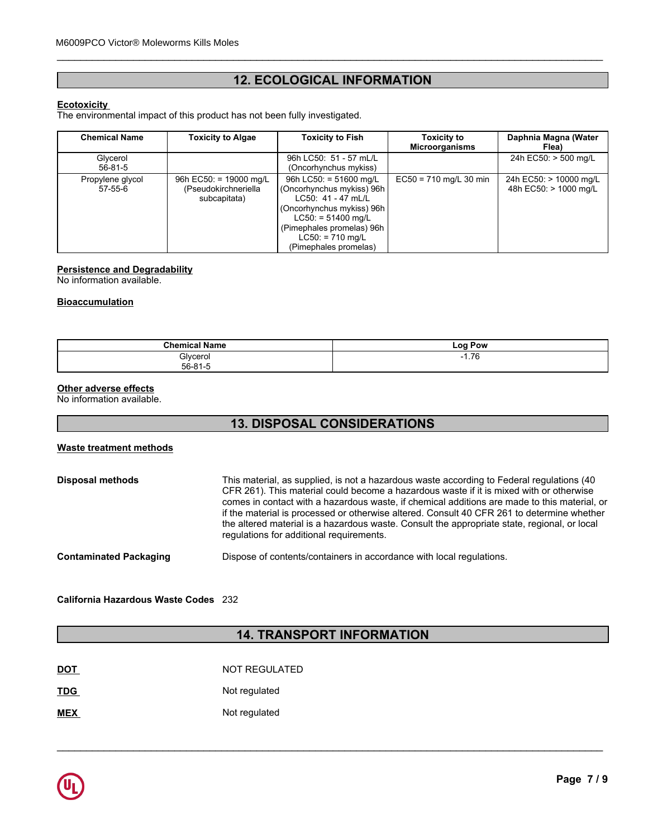# **12. ECOLOGICAL INFORMATION**

\_\_\_\_\_\_\_\_\_\_\_\_\_\_\_\_\_\_\_\_\_\_\_\_\_\_\_\_\_\_\_\_\_\_\_\_\_\_\_\_\_\_\_\_\_\_\_\_\_\_\_\_\_\_\_\_\_\_\_\_\_\_\_\_\_\_\_\_\_\_\_\_\_\_\_\_\_\_\_\_\_\_\_\_\_\_\_\_\_\_\_\_\_

### **Ecotoxicity**

|                                                                                                 | <b>12. ECOLOGICAL INFORMATION</b>                                        |                                                                                                                                                                                                              |                                             |                                                 |
|-------------------------------------------------------------------------------------------------|--------------------------------------------------------------------------|--------------------------------------------------------------------------------------------------------------------------------------------------------------------------------------------------------------|---------------------------------------------|-------------------------------------------------|
| <b>Ecotoxicity</b><br>The environmental impact of this product has not been fully investigated. |                                                                          |                                                                                                                                                                                                              |                                             |                                                 |
| <b>Chemical Name</b>                                                                            | <b>Toxicity to Algae</b>                                                 | <b>Toxicity to Fish</b>                                                                                                                                                                                      | <b>Toxicity to</b><br><b>Microorganisms</b> | Daphnia Magna (Water<br>Flea)                   |
| Glycerol<br>$56 - 81 - 5$                                                                       |                                                                          | 96h LC50: 51 - 57 mL/L<br>(Oncorhynchus mykiss)                                                                                                                                                              |                                             | 24h EC50: > 500 mg/L                            |
| Propylene glycol<br>$57 - 55 - 6$                                                               | 96h EC50: = $19000 \text{ mq/L}$<br>(Pseudokirchneriella<br>subcapitata) | 96h LC50: = $51600$ mg/L<br>(Oncorhynchus mykiss) 96h<br>LC50: 41 - 47 mL/L<br>(Oncorhynchus mykiss) 96h<br>$LC50: = 51400$ mg/L<br>(Pimephales promelas) 96h<br>$LC50: = 710$ mg/L<br>(Pimephales promelas) | $EC50 = 710$ mg/L 30 min                    | 24h EC50: > 10000 mg/L<br>48h EC50: > 1000 mg/L |

# **Persistence and Degradability**

No information available.

### **Bioaccumulation**

| <b>Chemical</b>  | LOO  |
|------------------|------|
| <b>Name</b>      | Pow  |
| Glycerol         | 7C   |
| ----             | - 1  |
| .01 <sub>F</sub> | 1.70 |
| БΩ.<br>- 11-11   |      |

### **Other adverse effects**

No information available.

# **13. DISPOSAL CONSIDERATIONS**

### **Waste treatment methods**

| <b>Disposal methods</b>       | This material, as supplied, is not a hazardous waste according to Federal regulations (40<br>CFR 261). This material could become a hazardous waste if it is mixed with or otherwise<br>comes in contact with a hazardous waste, if chemical additions are made to this material, or<br>if the material is processed or otherwise altered. Consult 40 CFR 261 to determine whether<br>the altered material is a hazardous waste. Consult the appropriate state, regional, or local<br>regulations for additional requirements. |
|-------------------------------|--------------------------------------------------------------------------------------------------------------------------------------------------------------------------------------------------------------------------------------------------------------------------------------------------------------------------------------------------------------------------------------------------------------------------------------------------------------------------------------------------------------------------------|
| <b>Contaminated Packaging</b> | Dispose of contents/containers in accordance with local regulations.                                                                                                                                                                                                                                                                                                                                                                                                                                                           |

**California Hazardous Waste Codes** 232

# **14. TRANSPORT INFORMATION**

| <b>DOT</b> | NOT REGULATED |
|------------|---------------|
| <b>TDG</b> | Not regulated |
| <b>MEX</b> | Not regulated |

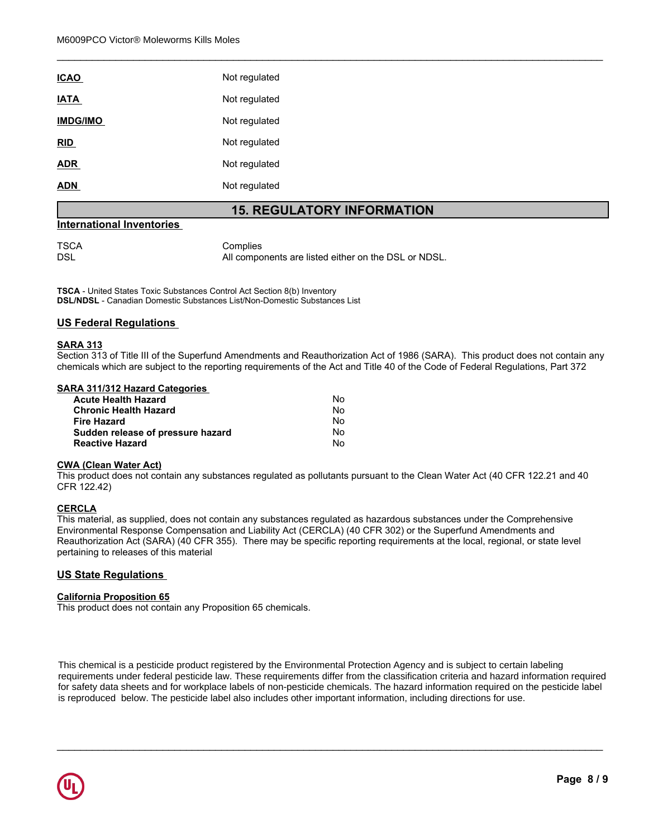| <b>ICAO</b>     | Not regulated |
|-----------------|---------------|
| <b>IATA</b>     | Not regulated |
| <b>IMDG/IMO</b> | Not regulated |
| <u>RID</u>      | Not regulated |
| <b>ADR</b>      | Not regulated |
| <b>ADN</b>      | Not regulated |

### **15. REGULATORY INFORMATION**

\_\_\_\_\_\_\_\_\_\_\_\_\_\_\_\_\_\_\_\_\_\_\_\_\_\_\_\_\_\_\_\_\_\_\_\_\_\_\_\_\_\_\_\_\_\_\_\_\_\_\_\_\_\_\_\_\_\_\_\_\_\_\_\_\_\_\_\_\_\_\_\_\_\_\_\_\_\_\_\_\_\_\_\_\_\_\_\_\_\_\_\_\_

### **International Inventories**

TSCA Complies<br>DSL Mill Compo All components are listed either on the DSL or NDSL.

**TSCA** - United States Toxic Substances Control Act Section 8(b) Inventory **DSL/NDSL** - Canadian Domestic Substances List/Non-Domestic Substances List

### **US Federal Regulations**

### **SARA 313**

Section 313 of Title III of the Superfund Amendments and Reauthorization Act of 1986 (SARA). This product does not contain any chemicals which are subject to the reporting requirements of the Act and Title 40 of the Code of Federal Regulations, Part 372

### **SARA 311/312 Hazard Categories**

| Acute Health Hazard               | Nο |  |
|-----------------------------------|----|--|
| Chronic Health Hazard             | Nο |  |
| Fire Hazard                       | N٥ |  |
| Sudden release of pressure hazard | N٥ |  |
| <b>Reactive Hazard</b>            | N٥ |  |

### **CWA (Clean Water Act)**

This product does not contain any substances regulated as pollutants pursuant to the Clean Water Act (40 CFR 122.21 and 40 CFR 122.42)

### **CERCLA**

This material, as supplied, does not contain any substances regulated as hazardous substances under the Comprehensive Environmental Response Compensation and Liability Act (CERCLA) (40 CFR 302) or the Superfund Amendments and Reauthorization Act (SARA) (40 CFR 355). There may be specific reporting requirements at the local, regional, or state level pertaining to releases of this material

### **US State Regulations**

### **California Proposition 65**

This product does not contain any Proposition 65 chemicals.

**Chemical Namerical Namerical Namerical Schemicals.**<br> **Chemical Analy Proposition 65 chemicals.**<br> **Chemical pesticide product registered by the Environmental Protection Agency and is subject to certain labeling<br>
If ederal** for safety data sheets and for workplace labels of non-pesticide chemicals. The hazard information required on the pesticide label<br>is reproduced below. The pesticide label also includes other important information, includi 56-81-5 is reproduced below. The pesticide label also includes other important information, including directions for use. Propylene glycol  $\mathbf{y}$  x  $\mathbf{x}$  x  $\mathbf{y}$  x  $\mathbf{x}$  x  $\mathbf{y}$  x  $\mathbf{x}$  x  $\mathbf{x}$  x  $\mathbf{x}$  x  $\mathbf{x}$  x  $\mathbf{x}$  x  $\mathbf{x}$  x  $\mathbf{x}$  x  $\mathbf{x}$  x  $\mathbf{x}$  x  $\mathbf{x}$  x  $\mathbf{x}$  x  $\mathbf{x}$  x  $\mathbf{x}$  x  $\mathbf{x}$  x  $\mathbf{x}$  x  $\mathbf{x}$  x  $\mathbf{x}$  This chemical is a pesticide product registered by the Environmental Protection Agency and is subject to certain labeling requirements under federal pesticide law. These requirements differ from the classification criteria and hazard information required